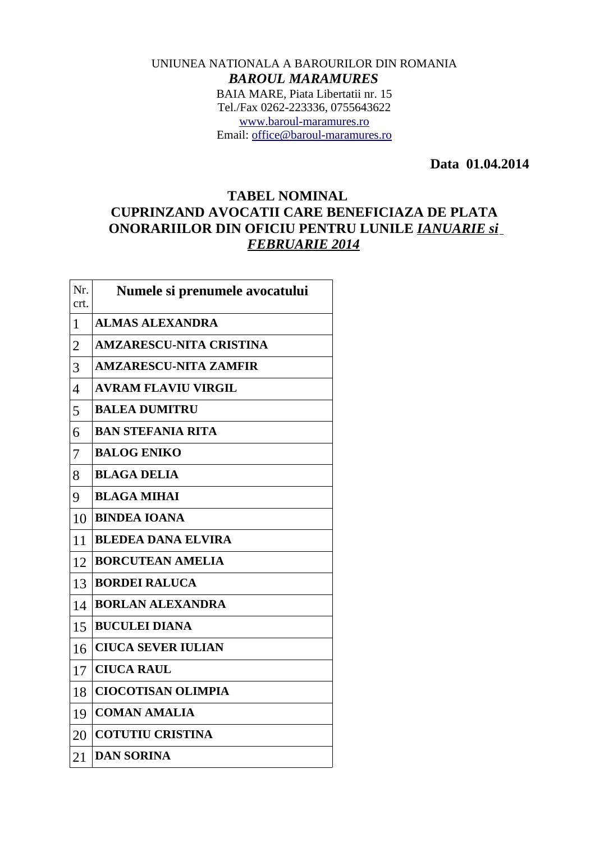## UNIUNEA NATIONALA A BAROURILOR DIN ROMANIA *BAROUL MARAMURES* BAIA MARE, Piata Libertatii nr. 15 Tel./Fax 0262-223336, 0755643622 [www.baroul-maramures.ro](http://www.baroul-maramures.ro/) Email: [office@baroul-maramures.ro](mailto:office@baroul-maramures.ro)

 **Data 01.04.2014**

## **TABEL NOMINAL CUPRINZAND AVOCATII CARE BENEFICIAZA DE PLATA ONORARIILOR DIN OFICIU PENTRU LUNILE** *IANUARIE si FEBRUARIE 2014*

| Nr.<br>crt.              | Numele si prenumele avocatului |
|--------------------------|--------------------------------|
| 1                        | <b>ALMAS ALEXANDRA</b>         |
| $\overline{2}$           | <b>AMZARESCU-NITA CRISTINA</b> |
| 3                        | <b>AMZARESCU-NITA ZAMFIR</b>   |
| $\overline{\mathcal{A}}$ | <b>AVRAM FLAVIU VIRGIL</b>     |
| 5                        | <b>BALEA DUMITRU</b>           |
| 6                        | <b>BAN STEFANIA RITA</b>       |
| 7                        | <b>BALOG ENIKO</b>             |
| 8                        | <b>BLAGA DELIA</b>             |
| 9                        | <b>BLAGA MIHAI</b>             |
| 10                       | <b>BINDEA IOANA</b>            |
| 11                       | <b>BLEDEA DANA ELVIRA</b>      |
| 12                       | <b>BORCUTEAN AMELIA</b>        |
| 13                       | <b>BORDEI RALUCA</b>           |
| 14                       | <b>BORLAN ALEXANDRA</b>        |
| 15                       | <b>BUCULEI DIANA</b>           |
| 16                       | <b>CIUCA SEVER IULIAN</b>      |
| 17                       | <b>CIUCA RAUL</b>              |
| 18                       | <b>CIOCOTISAN OLIMPIA</b>      |
| 19                       | <b>COMAN AMALIA</b>            |
| 20                       | <b>COTUTIU CRISTINA</b>        |
| 21                       | <b>DAN SORINA</b>              |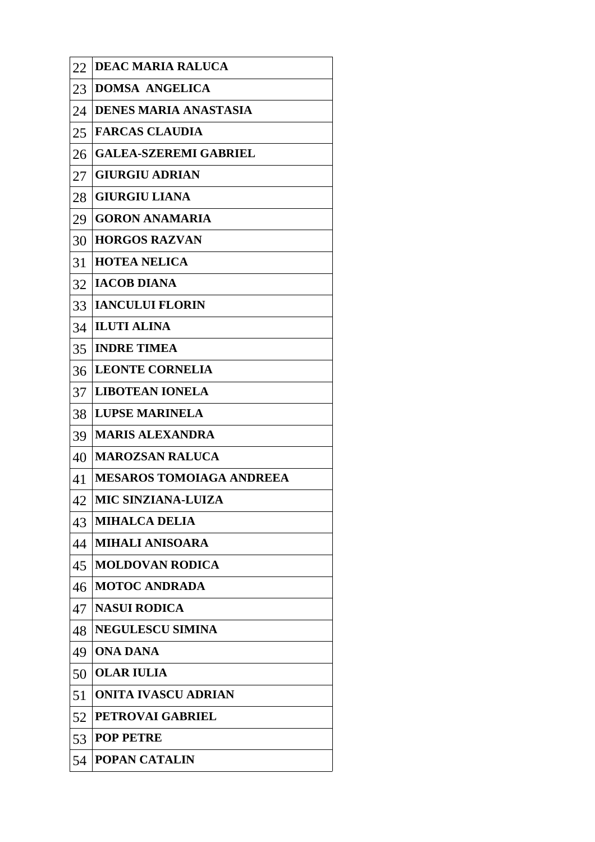| 22 | <b>DEAC MARIA RALUCA</b>        |
|----|---------------------------------|
| 23 | <b>DOMSA ANGELICA</b>           |
| 24 | <b>DENES MARIA ANASTASIA</b>    |
| 25 | <b>FARCAS CLAUDIA</b>           |
| 26 | <b>GALEA-SZEREMI GABRIEL</b>    |
| 27 | <b>GIURGIU ADRIAN</b>           |
| 28 | <b>GIURGIU LIANA</b>            |
| 29 | <b>GORON ANAMARIA</b>           |
| 30 | <b>HORGOS RAZVAN</b>            |
| 31 | <b>HOTEA NELICA</b>             |
| 32 | <b>IACOB DIANA</b>              |
| 33 | <b>IANCULUI FLORIN</b>          |
| 34 | <b>ILUTI ALINA</b>              |
| 35 | <b>INDRE TIMEA</b>              |
| 36 | <b>LEONTE CORNELIA</b>          |
| 37 | <b>LIBOTEAN IONELA</b>          |
| 38 | <b>LUPSE MARINELA</b>           |
| 39 | <b>MARIS ALEXANDRA</b>          |
| 40 | <b>MAROZSAN RALUCA</b>          |
| 41 | <b>MESAROS TOMOIAGA ANDREEA</b> |
| 42 | <b>MIC SINZIANA-LUIZA</b>       |
| 43 | <b>MIHALCA DELIA</b>            |
| 44 | <b>MIHALI ANISOARA</b>          |
| 45 | <b>MOLDOVAN RODICA</b>          |
| 46 | <b>MOTOC ANDRADA</b>            |
| 47 | <b>NASUI RODICA</b>             |
| 48 | <b>NEGULESCU SIMINA</b>         |
| 49 | <b>ONA DANA</b>                 |
| 50 | <b>OLAR IULIA</b>               |
| 51 | <b>ONITA IVASCU ADRIAN</b>      |
| 52 | <b>PETROVAI GABRIEL</b>         |
| 53 | <b>POP PETRE</b>                |
| 54 | <b>POPAN CATALIN</b>            |